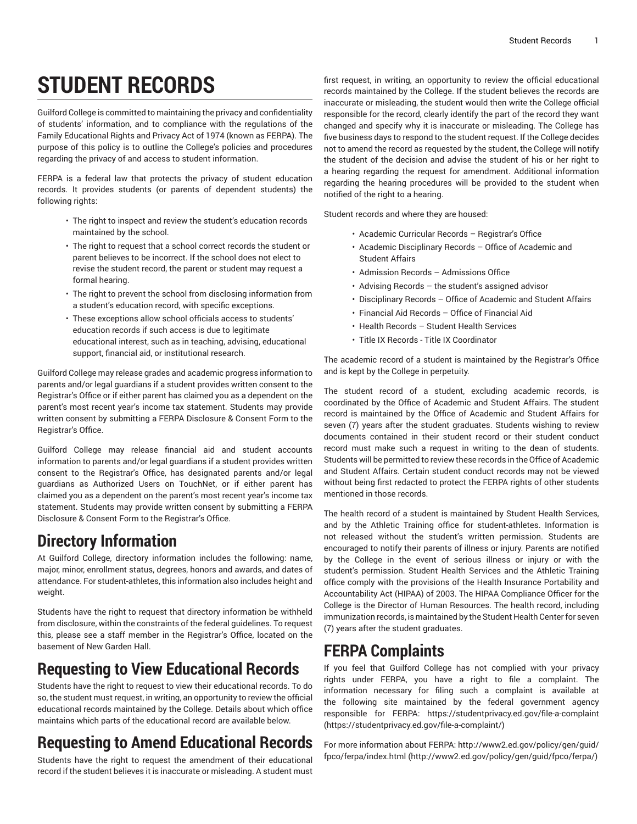# **STUDENT RECORDS**

Guilford College is committed to maintaining the privacy and confidentiality of students' information, and to compliance with the regulations of the Family Educational Rights and Privacy Act of 1974 (known as FERPA). The purpose of this policy is to outline the College's policies and procedures regarding the privacy of and access to student information.

FERPA is a federal law that protects the privacy of student education records. It provides students (or parents of dependent students) the following rights:

- The right to inspect and review the student's education records maintained by the school.
- The right to request that a school correct records the student or parent believes to be incorrect. If the school does not elect to revise the student record, the parent or student may request a formal hearing.
- The right to prevent the school from disclosing information from a student's education record, with specific exceptions.
- These exceptions allow school officials access to students' education records if such access is due to legitimate educational interest, such as in teaching, advising, educational support, financial aid, or institutional research.

Guilford College may release grades and academic progress information to parents and/or legal guardians if a student provides written consent to the Registrar's Office or if either parent has claimed you as a dependent on the parent's most recent year's income tax statement. Students may provide written consent by submitting a FERPA Disclosure & Consent Form to the Registrar's Office.

Guilford College may release financial aid and student accounts information to parents and/or legal guardians if a student provides written consent to the Registrar's Office, has designated parents and/or legal guardians as Authorized Users on TouchNet, or if either parent has claimed you as a dependent on the parent's most recent year's income tax statement. Students may provide written consent by submitting a FERPA Disclosure & Consent Form to the Registrar's Office.

#### **Directory Information**

At Guilford College, directory information includes the following: name, major, minor, enrollment status, degrees, honors and awards, and dates of attendance. For student-athletes, this information also includes height and weight.

Students have the right to request that directory information be withheld from disclosure, within the constraints of the federal guidelines. To request this, please see a staff member in the Registrar's Office, located on the basement of New Garden Hall.

### **Requesting to View Educational Records**

Students have the right to request to view their educational records. To do so, the student must request, in writing, an opportunity to review the official educational records maintained by the College. Details about which office maintains which parts of the educational record are available below.

## **Requesting to Amend Educational Records**

Students have the right to request the amendment of their educational record if the student believes it is inaccurate or misleading. A student must

first request, in writing, an opportunity to review the official educational records maintained by the College. If the student believes the records are inaccurate or misleading, the student would then write the College official responsible for the record, clearly identify the part of the record they want changed and specify why it is inaccurate or misleading. The College has five business days to respond to the student request. If the College decides not to amend the record as requested by the student, the College will notify the student of the decision and advise the student of his or her right to a hearing regarding the request for amendment. Additional information regarding the hearing procedures will be provided to the student when notified of the right to a hearing.

Student records and where they are housed:

- Academic Curricular Records Registrar's Office
- Academic Disciplinary Records Office of Academic and Student Affairs
- Admission Records Admissions Office
- Advising Records the student's assigned advisor
- Disciplinary Records Office of Academic and Student Affairs
- Financial Aid Records Office of Financial Aid
- Health Records Student Health Services
- Title IX Records Title IX Coordinator

The academic record of a student is maintained by the Registrar's Office and is kept by the College in perpetuity.

The student record of a student, excluding academic records, is coordinated by the Office of Academic and Student Affairs. The student record is maintained by the Office of Academic and Student Affairs for seven (7) years after the student graduates. Students wishing to review documents contained in their student record or their student conduct record must make such a request in writing to the dean of students. Students will be permitted to review these records in the Office of Academic and Student Affairs. Certain student conduct records may not be viewed without being first redacted to protect the FERPA rights of other students mentioned in those records.

The health record of a student is maintained by Student Health Services, and by the Athletic Training office for student-athletes. Information is not released without the student's written permission. Students are encouraged to notify their parents of illness or injury. Parents are notified by the College in the event of serious illness or injury or with the student's permission. Student Health Services and the Athletic Training office comply with the provisions of the Health Insurance Portability and Accountability Act (HIPAA) of 2003. The HIPAA Compliance Officer for the College is the Director of Human Resources. The health record, including immunization records, is maintained by the Student Health Center for seven (7) years after the student graduates.

#### **FERPA Complaints**

If you feel that Guilford College has not complied with your privacy rights under FERPA, you have a right to file a complaint. The information necessary for filing such a complaint is available at the following site maintained by the federal government agency responsible for FERPA: [https://studentprivacy.ed.gov/file-a-complaint](https://studentprivacy.ed.gov/file-a-complaint/) [\(https://studentprivacy.ed.gov/file-a-complaint/](https://studentprivacy.ed.gov/file-a-complaint/))

For more information about FERPA: [http://www2.ed.gov/policy/gen/guid/](http://www2.ed.gov/policy/gen/guid/fpco/ferpa/) [fpco/ferpa/index.html](http://www2.ed.gov/policy/gen/guid/fpco/ferpa/) [\(http://www2.ed.gov/policy/gen/guid/fpco/ferpa/\)](http://www2.ed.gov/policy/gen/guid/fpco/ferpa/)